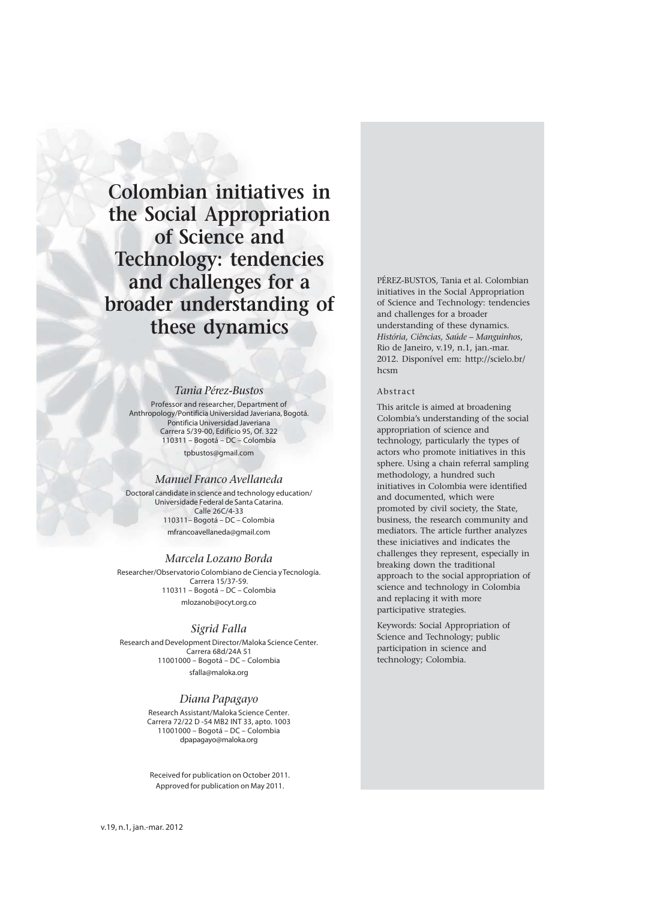**Colombian initiatives in the Social Appropriation of Science and Technology: tendencies and challenges for a broader understanding of these dynamics**

# *Tania Pérez-Bustos*

Professor and researcher, Department of Anthropology/Pontificia Universidad Javeriana, Bogotá. Pontificia Universidad Javeriana Carrera 5/39-00, Edificio 95, Of. 322 110311 – Bogotá – DC – Colombia tpbustos@gmail.com

### *Manuel Franco Avellaneda*

Doctoral candidate in science and technology education/ Universidade Federal de Santa Catarina. Calle 26C/4-33 110311– Bogotá – DC – Colombia mfrancoavellaneda@gmail.com

## *Marcela Lozano Borda*

Researcher/Observatorio Colombiano de Ciencia y Tecnología. Carrera 15/37-59. 110311 – Bogotá – DC – Colombia mlozanob@ocyt.org.co

### *Sigrid Falla*

Research and Development Director/Maloka Science Center. Carrera 68d/24A 51 11001000 – Bogotá – DC – Colombia sfalla@maloka.org

## *Diana Papagayo*

Research Assistant/Maloka Science Center. Carrera 72/22 D -54 MB2 INT 33, apto. 1003 11001000 – Bogotá – DC – Colombia dpapagayo@maloka.org

Received for publication on October 2011. Approved for publication on May 2011.

PÉREZ-BUSTOS, Tania et al. Colombian initiatives in the Social Appropriation of Science and Technology: tendencies and challenges for a broader understanding of these dynamics. *História, Ciências, Saúde – Manguinhos*, Rio de Janeiro, v.19, n.1, jan.-mar. 2012. Disponível em: http://scielo.br/ hcsm

### Abstract

This aritcle is aimed at broadening Colombia's understanding of the social appropriation of science and technology, particularly the types of actors who promote initiatives in this sphere. Using a chain referral sampling methodology, a hundred such initiatives in Colombia were identified and documented, which were promoted by civil society, the State, business, the research community and mediators. The article further analyzes these iniciatives and indicates the challenges they represent, especially in breaking down the traditional approach to the social appropriation of science and technology in Colombia and replacing it with more participative strategies.

Keywords: Social Appropriation of Science and Technology; public participation in science and technology; Colombia.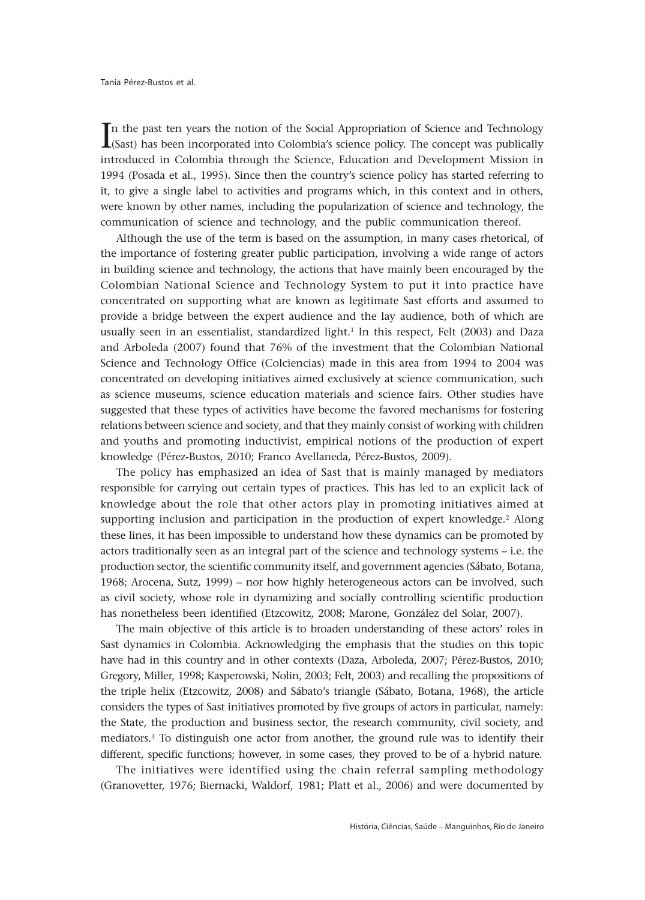In the past ten years the notion of the Social Appropriation of Science and Technology<br>(Sast) has been incorporated into Colombia's science policy. The concept was publically  $\blacktriangle$ (Sast) has been incorporated into Colombia's science policy. The concept was publically introduced in Colombia through the Science, Education and Development Mission in 1994 (Posada et al., 1995). Since then the country's science policy has started referring to it, to give a single label to activities and programs which, in this context and in others, were known by other names, including the popularization of science and technology, the communication of science and technology, and the public communication thereof.

Although the use of the term is based on the assumption, in many cases rhetorical, of the importance of fostering greater public participation, involving a wide range of actors in building science and technology, the actions that have mainly been encouraged by the Colombian National Science and Technology System to put it into practice have concentrated on supporting what are known as legitimate Sast efforts and assumed to provide a bridge between the expert audience and the lay audience, both of which are usually seen in an essentialist, standardized light.<sup>1</sup> In this respect, Felt (2003) and Daza and Arboleda (2007) found that 76% of the investment that the Colombian National Science and Technology Office (Colciencias) made in this area from 1994 to 2004 was concentrated on developing initiatives aimed exclusively at science communication, such as science museums, science education materials and science fairs. Other studies have suggested that these types of activities have become the favored mechanisms for fostering relations between science and society, and that they mainly consist of working with children and youths and promoting inductivist, empirical notions of the production of expert knowledge (Pérez-Bustos, 2010; Franco Avellaneda, Pérez-Bustos, 2009).

The policy has emphasized an idea of Sast that is mainly managed by mediators responsible for carrying out certain types of practices. This has led to an explicit lack of knowledge about the role that other actors play in promoting initiatives aimed at supporting inclusion and participation in the production of expert knowledge.<sup>2</sup> Along these lines, it has been impossible to understand how these dynamics can be promoted by actors traditionally seen as an integral part of the science and technology systems – i.e. the production sector, the scientific community itself, and government agencies (Sábato, Botana, 1968; Arocena, Sutz, 1999) – nor how highly heterogeneous actors can be involved, such as civil society, whose role in dynamizing and socially controlling scientific production has nonetheless been identified (Etzcowitz, 2008; Marone, González del Solar, 2007).

The main objective of this article is to broaden understanding of these actors' roles in Sast dynamics in Colombia. Acknowledging the emphasis that the studies on this topic have had in this country and in other contexts (Daza, Arboleda, 2007; Pérez-Bustos, 2010; Gregory, Miller, 1998; Kasperowski, Nolin, 2003; Felt, 2003) and recalling the propositions of the triple helix (Etzcowitz, 2008) and Sábato's triangle (Sábato, Botana, 1968), the article considers the types of Sast initiatives promoted by five groups of actors in particular, namely: the State, the production and business sector, the research community, civil society, and mediators.3 To distinguish one actor from another, the ground rule was to identify their different, specific functions; however, in some cases, they proved to be of a hybrid nature.

The initiatives were identified using the chain referral sampling methodology (Granovetter, 1976; Biernacki, Waldorf, 1981; Platt et al., 2006) and were documented by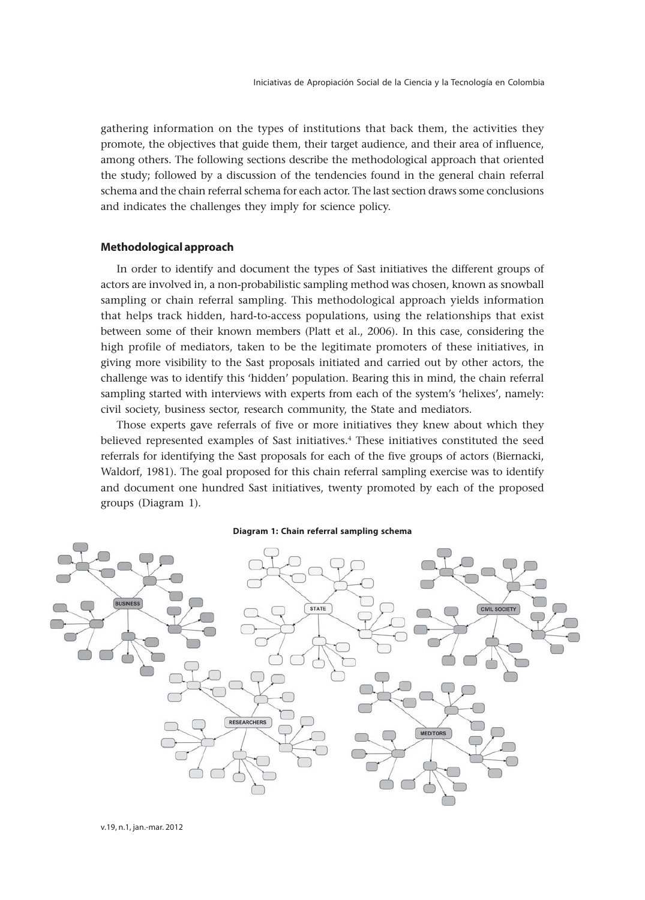gathering information on the types of institutions that back them, the activities they promote, the objectives that guide them, their target audience, and their area of influence, among others. The following sections describe the methodological approach that oriented the study; followed by a discussion of the tendencies found in the general chain referral schema and the chain referral schema for each actor. The last section draws some conclusions and indicates the challenges they imply for science policy.

# **Methodological approach**

In order to identify and document the types of Sast initiatives the different groups of actors are involved in, a non-probabilistic sampling method was chosen, known as snowball sampling or chain referral sampling. This methodological approach yields information that helps track hidden, hard-to-access populations, using the relationships that exist between some of their known members (Platt et al., 2006). In this case, considering the high profile of mediators, taken to be the legitimate promoters of these initiatives, in giving more visibility to the Sast proposals initiated and carried out by other actors, the challenge was to identify this 'hidden' population. Bearing this in mind, the chain referral sampling started with interviews with experts from each of the system's 'helixes', namely: civil society, business sector, research community, the State and mediators.

Those experts gave referrals of five or more initiatives they knew about which they believed represented examples of Sast initiatives.4 These initiatives constituted the seed referrals for identifying the Sast proposals for each of the five groups of actors (Biernacki, Waldorf, 1981). The goal proposed for this chain referral sampling exercise was to identify and document one hundred Sast initiatives, twenty promoted by each of the proposed groups (Diagram 1).

#### **Diagram 1: Chain referral sampling schema**

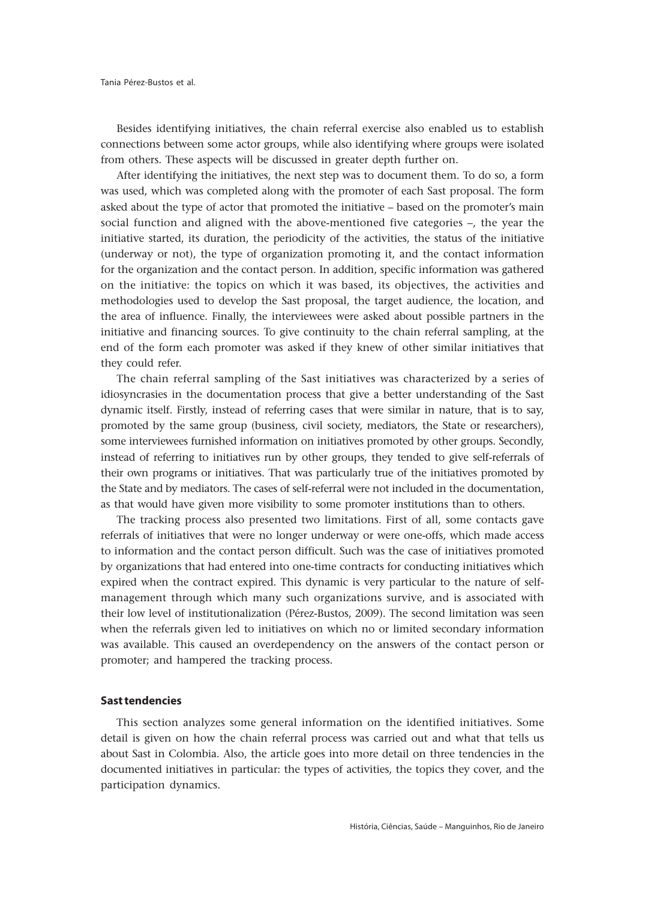Besides identifying initiatives, the chain referral exercise also enabled us to establish connections between some actor groups, while also identifying where groups were isolated from others. These aspects will be discussed in greater depth further on.

After identifying the initiatives, the next step was to document them. To do so, a form was used, which was completed along with the promoter of each Sast proposal. The form asked about the type of actor that promoted the initiative – based on the promoter's main social function and aligned with the above-mentioned five categories –, the year the initiative started, its duration, the periodicity of the activities, the status of the initiative (underway or not), the type of organization promoting it, and the contact information for the organization and the contact person. In addition, specific information was gathered on the initiative: the topics on which it was based, its objectives, the activities and methodologies used to develop the Sast proposal, the target audience, the location, and the area of influence. Finally, the interviewees were asked about possible partners in the initiative and financing sources. To give continuity to the chain referral sampling, at the end of the form each promoter was asked if they knew of other similar initiatives that they could refer.

The chain referral sampling of the Sast initiatives was characterized by a series of idiosyncrasies in the documentation process that give a better understanding of the Sast dynamic itself. Firstly, instead of referring cases that were similar in nature, that is to say, promoted by the same group (business, civil society, mediators, the State or researchers), some interviewees furnished information on initiatives promoted by other groups. Secondly, instead of referring to initiatives run by other groups, they tended to give self-referrals of their own programs or initiatives. That was particularly true of the initiatives promoted by the State and by mediators. The cases of self-referral were not included in the documentation, as that would have given more visibility to some promoter institutions than to others.

The tracking process also presented two limitations. First of all, some contacts gave referrals of initiatives that were no longer underway or were one-offs, which made access to information and the contact person difficult. Such was the case of initiatives promoted by organizations that had entered into one-time contracts for conducting initiatives which expired when the contract expired. This dynamic is very particular to the nature of selfmanagement through which many such organizations survive, and is associated with their low level of institutionalization (Pérez-Bustos, 2009). The second limitation was seen when the referrals given led to initiatives on which no or limited secondary information was available. This caused an overdependency on the answers of the contact person or promoter; and hampered the tracking process.

# **Sast tendencies**

This section analyzes some general information on the identified initiatives. Some detail is given on how the chain referral process was carried out and what that tells us about Sast in Colombia. Also, the article goes into more detail on three tendencies in the documented initiatives in particular: the types of activities, the topics they cover, and the participation dynamics.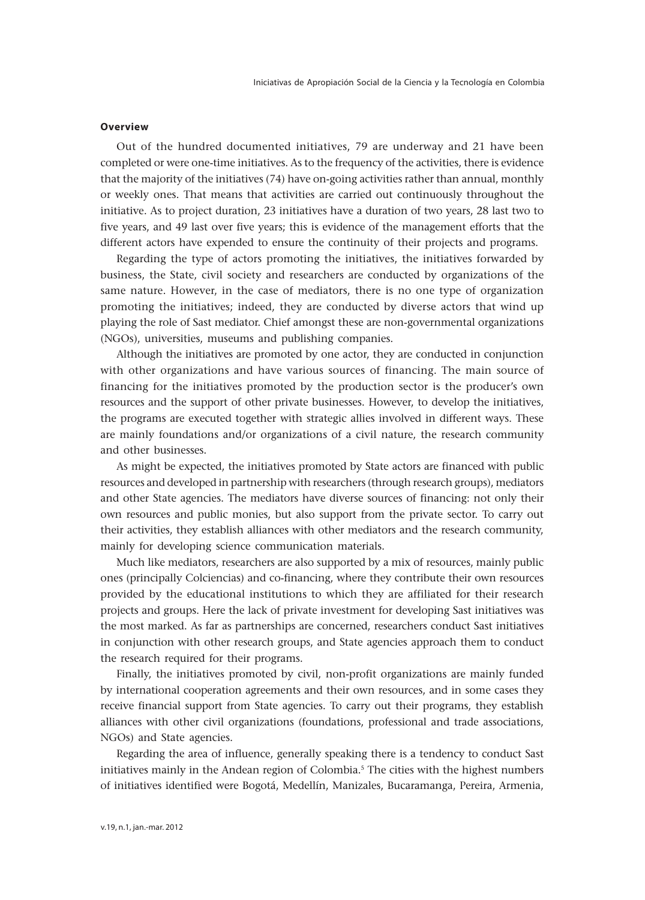# **Overview**

Out of the hundred documented initiatives, 79 are underway and 21 have been completed or were one-time initiatives. As to the frequency of the activities, there is evidence that the majority of the initiatives (74) have on-going activities rather than annual, monthly or weekly ones. That means that activities are carried out continuously throughout the initiative. As to project duration, 23 initiatives have a duration of two years, 28 last two to five years, and 49 last over five years; this is evidence of the management efforts that the different actors have expended to ensure the continuity of their projects and programs.

Regarding the type of actors promoting the initiatives, the initiatives forwarded by business, the State, civil society and researchers are conducted by organizations of the same nature. However, in the case of mediators, there is no one type of organization promoting the initiatives; indeed, they are conducted by diverse actors that wind up playing the role of Sast mediator. Chief amongst these are non-governmental organizations (NGOs), universities, museums and publishing companies.

Although the initiatives are promoted by one actor, they are conducted in conjunction with other organizations and have various sources of financing. The main source of financing for the initiatives promoted by the production sector is the producer's own resources and the support of other private businesses. However, to develop the initiatives, the programs are executed together with strategic allies involved in different ways. These are mainly foundations and/or organizations of a civil nature, the research community and other businesses.

As might be expected, the initiatives promoted by State actors are financed with public resources and developed in partnership with researchers (through research groups), mediators and other State agencies. The mediators have diverse sources of financing: not only their own resources and public monies, but also support from the private sector. To carry out their activities, they establish alliances with other mediators and the research community, mainly for developing science communication materials.

Much like mediators, researchers are also supported by a mix of resources, mainly public ones (principally Colciencias) and co-financing, where they contribute their own resources provided by the educational institutions to which they are affiliated for their research projects and groups. Here the lack of private investment for developing Sast initiatives was the most marked. As far as partnerships are concerned, researchers conduct Sast initiatives in conjunction with other research groups, and State agencies approach them to conduct the research required for their programs.

Finally, the initiatives promoted by civil, non-profit organizations are mainly funded by international cooperation agreements and their own resources, and in some cases they receive financial support from State agencies. To carry out their programs, they establish alliances with other civil organizations (foundations, professional and trade associations, NGOs) and State agencies.

Regarding the area of influence, generally speaking there is a tendency to conduct Sast initiatives mainly in the Andean region of Colombia.<sup>5</sup> The cities with the highest numbers of initiatives identified were Bogotá, Medellín, Manizales, Bucaramanga, Pereira, Armenia,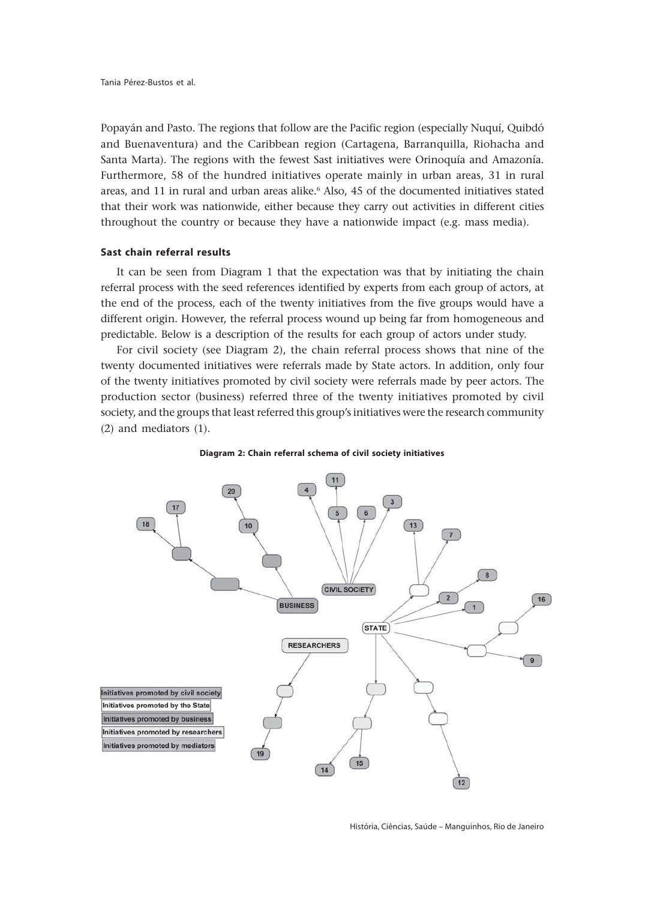Popayán and Pasto. The regions that follow are the Pacific region (especially Nuquí, Quibdó and Buenaventura) and the Caribbean region (Cartagena, Barranquilla, Riohacha and Santa Marta). The regions with the fewest Sast initiatives were Orinoquía and Amazonía. Furthermore, 58 of the hundred initiatives operate mainly in urban areas, 31 in rural areas, and 11 in rural and urban areas alike.<sup>6</sup> Also, 45 of the documented initiatives stated that their work was nationwide, either because they carry out activities in different cities throughout the country or because they have a nationwide impact (e.g. mass media).

# **Sast chain referral results**

It can be seen from Diagram 1 that the expectation was that by initiating the chain referral process with the seed references identified by experts from each group of actors, at the end of the process, each of the twenty initiatives from the five groups would have a different origin. However, the referral process wound up being far from homogeneous and predictable. Below is a description of the results for each group of actors under study.

For civil society (see Diagram 2), the chain referral process shows that nine of the twenty documented initiatives were referrals made by State actors. In addition, only four of the twenty initiatives promoted by civil society were referrals made by peer actors. The production sector (business) referred three of the twenty initiatives promoted by civil society, and the groups that least referred this group's initiatives were the research community (2) and mediators (1).



### **Diagram 2: Chain referral schema of civil society initiatives**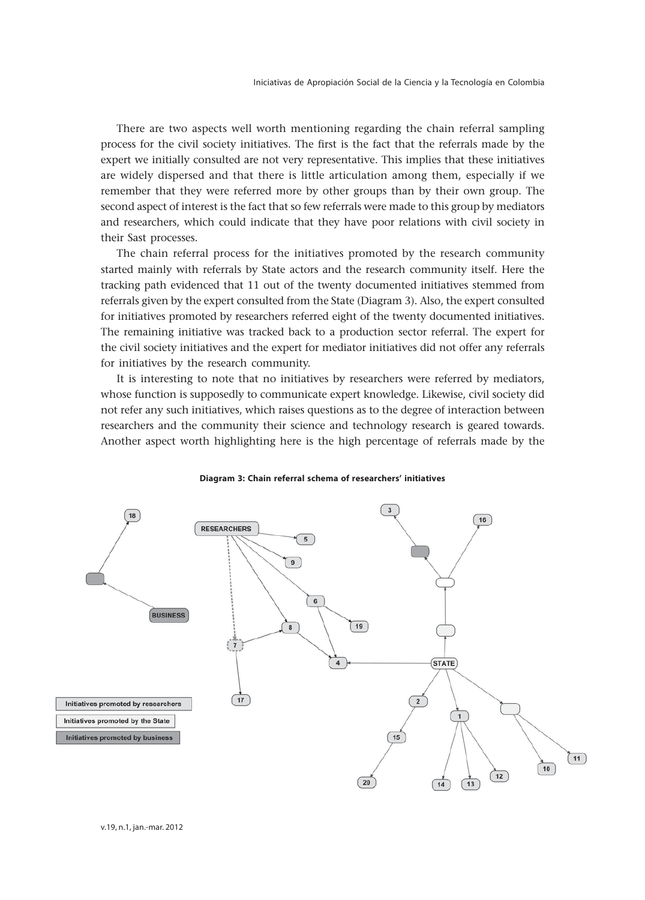There are two aspects well worth mentioning regarding the chain referral sampling process for the civil society initiatives. The first is the fact that the referrals made by the expert we initially consulted are not very representative. This implies that these initiatives are widely dispersed and that there is little articulation among them, especially if we remember that they were referred more by other groups than by their own group. The second aspect of interest is the fact that so few referrals were made to this group by mediators and researchers, which could indicate that they have poor relations with civil society in their Sast processes.

The chain referral process for the initiatives promoted by the research community started mainly with referrals by State actors and the research community itself. Here the tracking path evidenced that 11 out of the twenty documented initiatives stemmed from referrals given by the expert consulted from the State (Diagram 3). Also, the expert consulted for initiatives promoted by researchers referred eight of the twenty documented initiatives. The remaining initiative was tracked back to a production sector referral. The expert for the civil society initiatives and the expert for mediator initiatives did not offer any referrals for initiatives by the research community.

It is interesting to note that no initiatives by researchers were referred by mediators, whose function is supposedly to communicate expert knowledge. Likewise, civil society did not refer any such initiatives, which raises questions as to the degree of interaction between researchers and the community their science and technology research is geared towards. Another aspect worth highlighting here is the high percentage of referrals made by the



### **Diagram 3: Chain referral schema of researchers' initiatives**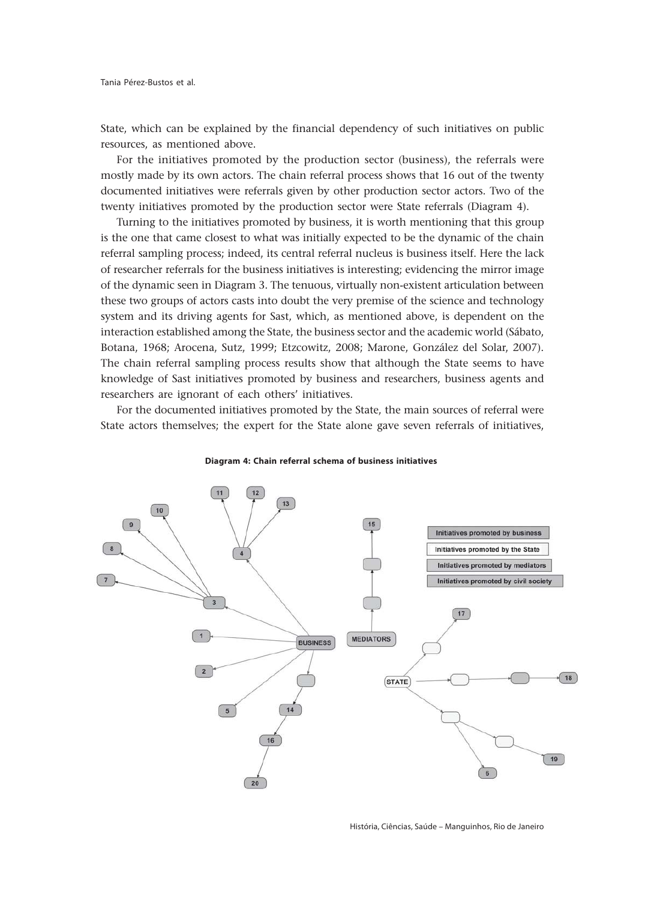State, which can be explained by the financial dependency of such initiatives on public resources, as mentioned above.

For the initiatives promoted by the production sector (business), the referrals were mostly made by its own actors. The chain referral process shows that 16 out of the twenty documented initiatives were referrals given by other production sector actors. Two of the twenty initiatives promoted by the production sector were State referrals (Diagram 4).

Turning to the initiatives promoted by business, it is worth mentioning that this group is the one that came closest to what was initially expected to be the dynamic of the chain referral sampling process; indeed, its central referral nucleus is business itself. Here the lack of researcher referrals for the business initiatives is interesting; evidencing the mirror image of the dynamic seen in Diagram 3. The tenuous, virtually non-existent articulation between these two groups of actors casts into doubt the very premise of the science and technology system and its driving agents for Sast, which, as mentioned above, is dependent on the interaction established among the State, the business sector and the academic world (Sábato, Botana, 1968; Arocena, Sutz, 1999; Etzcowitz, 2008; Marone, González del Solar, 2007). The chain referral sampling process results show that although the State seems to have knowledge of Sast initiatives promoted by business and researchers, business agents and researchers are ignorant of each others' initiatives.

For the documented initiatives promoted by the State, the main sources of referral were State actors themselves; the expert for the State alone gave seven referrals of initiatives,



#### **Diagram 4: Chain referral schema of business initiatives**

História, Ciências, Saúde – Manguinhos, Rio de Janeiro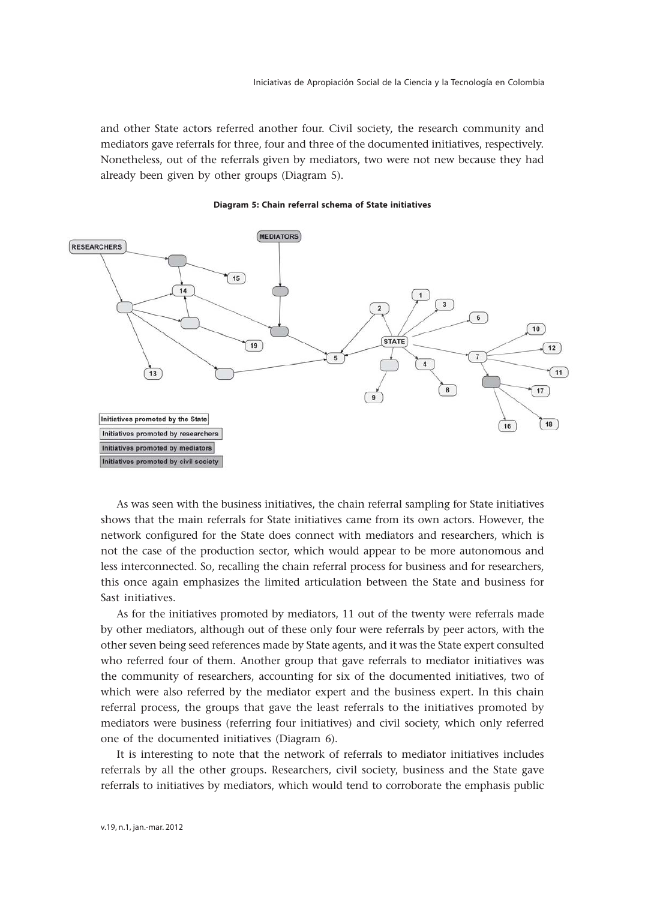and other State actors referred another four. Civil society, the research community and mediators gave referrals for three, four and three of the documented initiatives, respectively. Nonetheless, out of the referrals given by mediators, two were not new because they had already been given by other groups (Diagram 5).





As was seen with the business initiatives, the chain referral sampling for State initiatives shows that the main referrals for State initiatives came from its own actors. However, the network configured for the State does connect with mediators and researchers, which is not the case of the production sector, which would appear to be more autonomous and less interconnected. So, recalling the chain referral process for business and for researchers, this once again emphasizes the limited articulation between the State and business for Sast initiatives.

As for the initiatives promoted by mediators, 11 out of the twenty were referrals made by other mediators, although out of these only four were referrals by peer actors, with the other seven being seed references made by State agents, and it was the State expert consulted who referred four of them. Another group that gave referrals to mediator initiatives was the community of researchers, accounting for six of the documented initiatives, two of which were also referred by the mediator expert and the business expert. In this chain referral process, the groups that gave the least referrals to the initiatives promoted by mediators were business (referring four initiatives) and civil society, which only referred one of the documented initiatives (Diagram 6).

It is interesting to note that the network of referrals to mediator initiatives includes referrals by all the other groups. Researchers, civil society, business and the State gave referrals to initiatives by mediators, which would tend to corroborate the emphasis public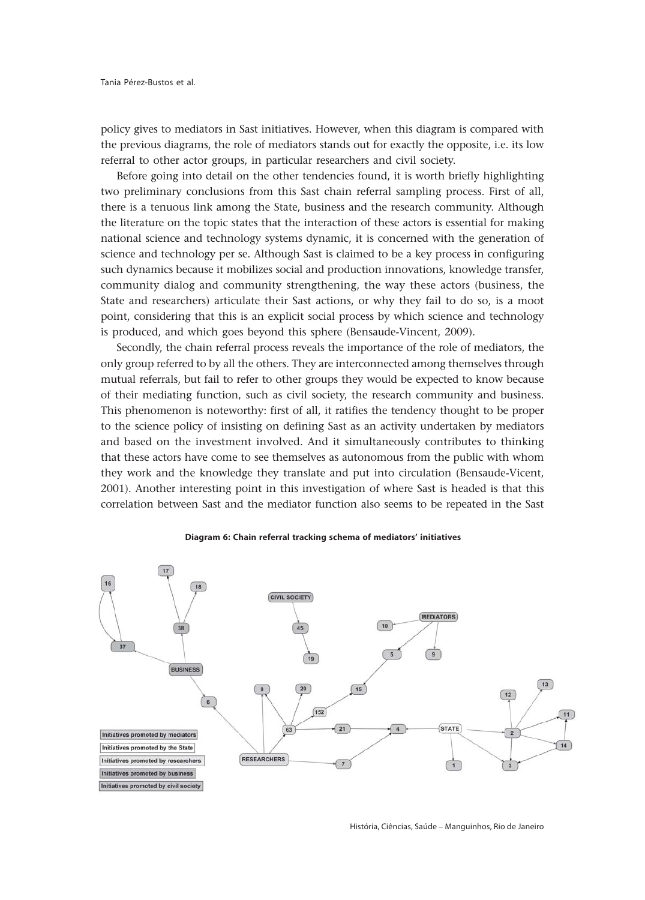policy gives to mediators in Sast initiatives. However, when this diagram is compared with the previous diagrams, the role of mediators stands out for exactly the opposite, i.e. its low referral to other actor groups, in particular researchers and civil society.

Before going into detail on the other tendencies found, it is worth briefly highlighting two preliminary conclusions from this Sast chain referral sampling process. First of all, there is a tenuous link among the State, business and the research community. Although the literature on the topic states that the interaction of these actors is essential for making national science and technology systems dynamic, it is concerned with the generation of science and technology per se. Although Sast is claimed to be a key process in configuring such dynamics because it mobilizes social and production innovations, knowledge transfer, community dialog and community strengthening, the way these actors (business, the State and researchers) articulate their Sast actions, or why they fail to do so, is a moot point, considering that this is an explicit social process by which science and technology is produced, and which goes beyond this sphere (Bensaude-Vincent, 2009).

Secondly, the chain referral process reveals the importance of the role of mediators, the only group referred to by all the others. They are interconnected among themselves through mutual referrals, but fail to refer to other groups they would be expected to know because of their mediating function, such as civil society, the research community and business. This phenomenon is noteworthy: first of all, it ratifies the tendency thought to be proper to the science policy of insisting on defining Sast as an activity undertaken by mediators and based on the investment involved. And it simultaneously contributes to thinking that these actors have come to see themselves as autonomous from the public with whom they work and the knowledge they translate and put into circulation (Bensaude-Vicent, 2001). Another interesting point in this investigation of where Sast is headed is that this correlation between Sast and the mediator function also seems to be repeated in the Sast



#### **Diagram 6: Chain referral tracking schema of mediators' initiatives**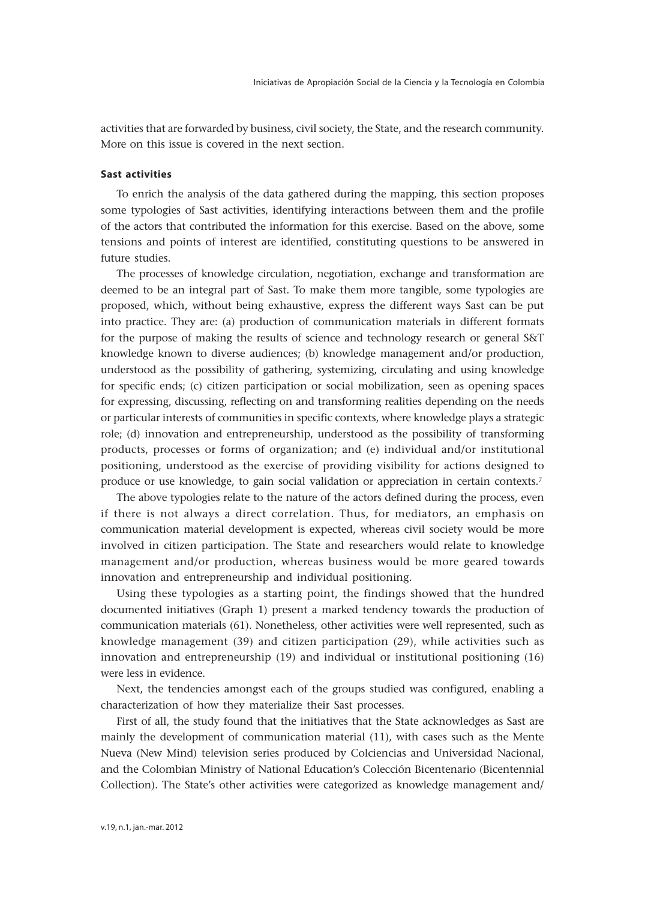activities that are forwarded by business, civil society, the State, and the research community. More on this issue is covered in the next section.

# **Sast activities**

To enrich the analysis of the data gathered during the mapping, this section proposes some typologies of Sast activities, identifying interactions between them and the profile of the actors that contributed the information for this exercise. Based on the above, some tensions and points of interest are identified, constituting questions to be answered in future studies.

The processes of knowledge circulation, negotiation, exchange and transformation are deemed to be an integral part of Sast. To make them more tangible, some typologies are proposed, which, without being exhaustive, express the different ways Sast can be put into practice. They are: (a) production of communication materials in different formats for the purpose of making the results of science and technology research or general S&T knowledge known to diverse audiences; (b) knowledge management and/or production, understood as the possibility of gathering, systemizing, circulating and using knowledge for specific ends; (c) citizen participation or social mobilization, seen as opening spaces for expressing, discussing, reflecting on and transforming realities depending on the needs or particular interests of communities in specific contexts, where knowledge plays a strategic role; (d) innovation and entrepreneurship, understood as the possibility of transforming products, processes or forms of organization; and (e) individual and/or institutional positioning, understood as the exercise of providing visibility for actions designed to produce or use knowledge, to gain social validation or appreciation in certain contexts.7

The above typologies relate to the nature of the actors defined during the process, even if there is not always a direct correlation. Thus, for mediators, an emphasis on communication material development is expected, whereas civil society would be more involved in citizen participation. The State and researchers would relate to knowledge management and/or production, whereas business would be more geared towards innovation and entrepreneurship and individual positioning.

Using these typologies as a starting point, the findings showed that the hundred documented initiatives (Graph 1) present a marked tendency towards the production of communication materials (61). Nonetheless, other activities were well represented, such as knowledge management (39) and citizen participation (29), while activities such as innovation and entrepreneurship (19) and individual or institutional positioning (16) were less in evidence.

Next, the tendencies amongst each of the groups studied was configured, enabling a characterization of how they materialize their Sast processes.

First of all, the study found that the initiatives that the State acknowledges as Sast are mainly the development of communication material (11), with cases such as the Mente Nueva (New Mind) television series produced by Colciencias and Universidad Nacional, and the Colombian Ministry of National Education's Colección Bicentenario (Bicentennial Collection). The State's other activities were categorized as knowledge management and/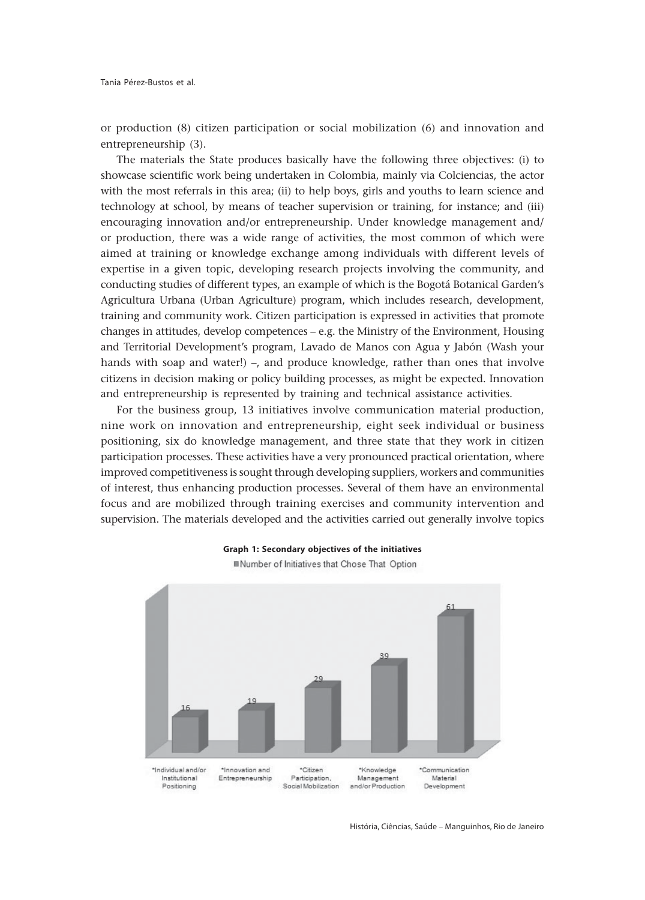or production (8) citizen participation or social mobilization (6) and innovation and entrepreneurship (3).

The materials the State produces basically have the following three objectives: (i) to showcase scientific work being undertaken in Colombia, mainly via Colciencias, the actor with the most referrals in this area; (ii) to help boys, girls and youths to learn science and technology at school, by means of teacher supervision or training, for instance; and (iii) encouraging innovation and/or entrepreneurship. Under knowledge management and/ or production, there was a wide range of activities, the most common of which were aimed at training or knowledge exchange among individuals with different levels of expertise in a given topic, developing research projects involving the community, and conducting studies of different types, an example of which is the Bogotá Botanical Garden's Agricultura Urbana (Urban Agriculture) program, which includes research, development, training and community work. Citizen participation is expressed in activities that promote changes in attitudes, develop competences – e.g. the Ministry of the Environment, Housing and Territorial Development's program, Lavado de Manos con Agua y Jabón (Wash your hands with soap and water!) –, and produce knowledge, rather than ones that involve citizens in decision making or policy building processes, as might be expected. Innovation and entrepreneurship is represented by training and technical assistance activities.

For the business group, 13 initiatives involve communication material production, nine work on innovation and entrepreneurship, eight seek individual or business positioning, six do knowledge management, and three state that they work in citizen participation processes. These activities have a very pronounced practical orientation, where improved competitiveness is sought through developing suppliers, workers and communities of interest, thus enhancing production processes. Several of them have an environmental focus and are mobilized through training exercises and community intervention and supervision. The materials developed and the activities carried out generally involve topics





História, Ciências, Saúde – Manguinhos, Rio de Janeiro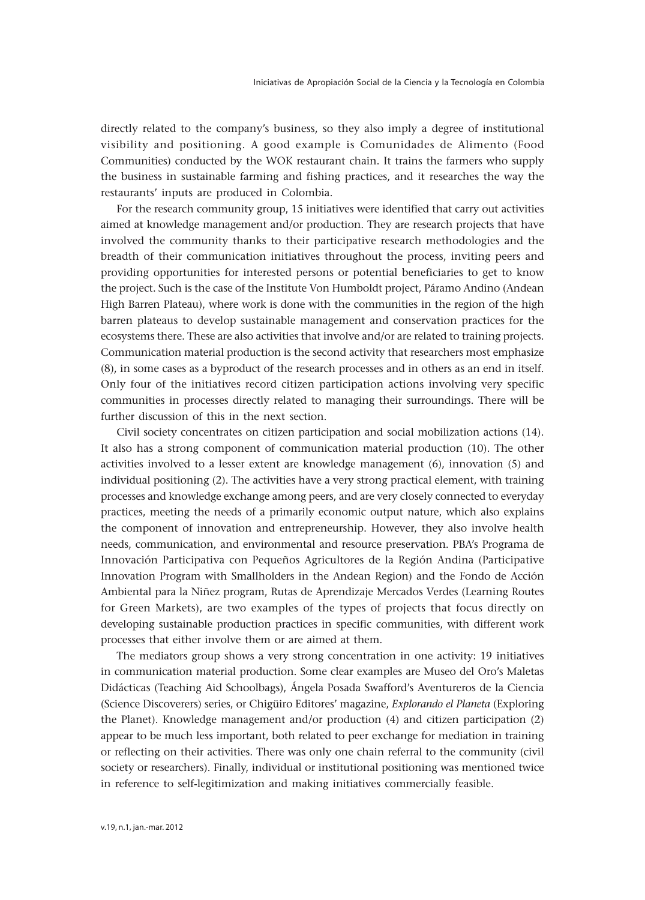directly related to the company's business, so they also imply a degree of institutional visibility and positioning. A good example is Comunidades de Alimento (Food Communities) conducted by the WOK restaurant chain. It trains the farmers who supply the business in sustainable farming and fishing practices, and it researches the way the restaurants' inputs are produced in Colombia.

For the research community group, 15 initiatives were identified that carry out activities aimed at knowledge management and/or production. They are research projects that have involved the community thanks to their participative research methodologies and the breadth of their communication initiatives throughout the process, inviting peers and providing opportunities for interested persons or potential beneficiaries to get to know the project. Such is the case of the Institute Von Humboldt project, Páramo Andino (Andean High Barren Plateau), where work is done with the communities in the region of the high barren plateaus to develop sustainable management and conservation practices for the ecosystems there. These are also activities that involve and/or are related to training projects. Communication material production is the second activity that researchers most emphasize (8), in some cases as a byproduct of the research processes and in others as an end in itself. Only four of the initiatives record citizen participation actions involving very specific communities in processes directly related to managing their surroundings. There will be further discussion of this in the next section.

Civil society concentrates on citizen participation and social mobilization actions (14). It also has a strong component of communication material production (10). The other activities involved to a lesser extent are knowledge management (6), innovation (5) and individual positioning (2). The activities have a very strong practical element, with training processes and knowledge exchange among peers, and are very closely connected to everyday practices, meeting the needs of a primarily economic output nature, which also explains the component of innovation and entrepreneurship. However, they also involve health needs, communication, and environmental and resource preservation. PBA's Programa de Innovación Participativa con Pequeños Agricultores de la Región Andina (Participative Innovation Program with Smallholders in the Andean Region) and the Fondo de Acción Ambiental para la Niñez program, Rutas de Aprendizaje Mercados Verdes (Learning Routes for Green Markets), are two examples of the types of projects that focus directly on developing sustainable production practices in specific communities, with different work processes that either involve them or are aimed at them.

The mediators group shows a very strong concentration in one activity: 19 initiatives in communication material production. Some clear examples are Museo del Oro's Maletas Didácticas (Teaching Aid Schoolbags), Ángela Posada Swafford's Aventureros de la Ciencia (Science Discoverers) series, or Chigüiro Editores' magazine, *Explorando el Planeta* (Exploring the Planet). Knowledge management and/or production (4) and citizen participation (2) appear to be much less important, both related to peer exchange for mediation in training or reflecting on their activities. There was only one chain referral to the community (civil society or researchers). Finally, individual or institutional positioning was mentioned twice in reference to self-legitimization and making initiatives commercially feasible.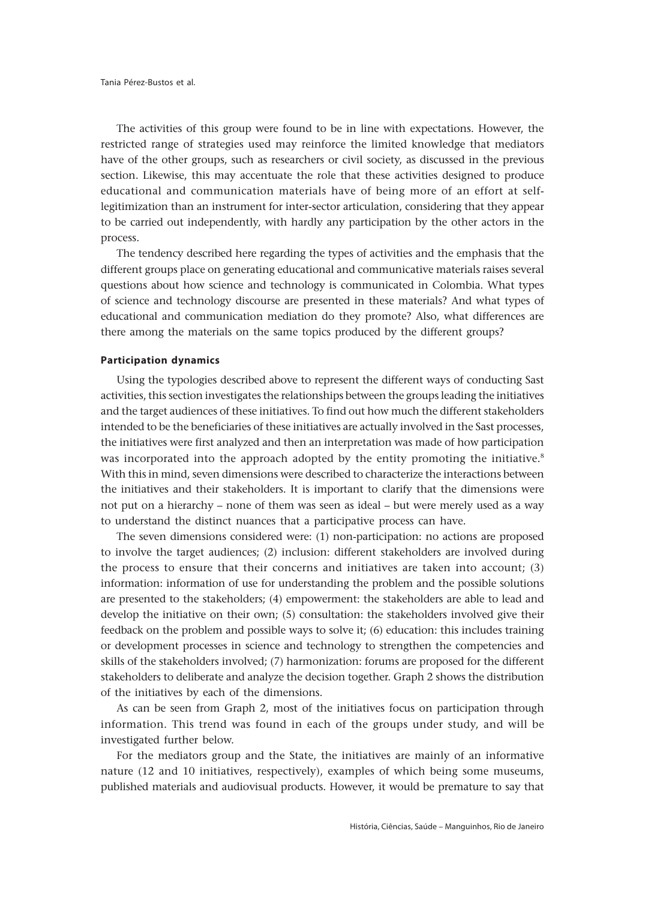The activities of this group were found to be in line with expectations. However, the restricted range of strategies used may reinforce the limited knowledge that mediators have of the other groups, such as researchers or civil society, as discussed in the previous section. Likewise, this may accentuate the role that these activities designed to produce educational and communication materials have of being more of an effort at selflegitimization than an instrument for inter-sector articulation, considering that they appear to be carried out independently, with hardly any participation by the other actors in the process.

The tendency described here regarding the types of activities and the emphasis that the different groups place on generating educational and communicative materials raises several questions about how science and technology is communicated in Colombia. What types of science and technology discourse are presented in these materials? And what types of educational and communication mediation do they promote? Also, what differences are there among the materials on the same topics produced by the different groups?

## **Participation dynamics**

Using the typologies described above to represent the different ways of conducting Sast activities, this section investigates the relationships between the groups leading the initiatives and the target audiences of these initiatives. To find out how much the different stakeholders intended to be the beneficiaries of these initiatives are actually involved in the Sast processes, the initiatives were first analyzed and then an interpretation was made of how participation was incorporated into the approach adopted by the entity promoting the initiative.<sup>8</sup> With this in mind, seven dimensions were described to characterize the interactions between the initiatives and their stakeholders. It is important to clarify that the dimensions were not put on a hierarchy – none of them was seen as ideal – but were merely used as a way to understand the distinct nuances that a participative process can have.

The seven dimensions considered were: (1) non-participation: no actions are proposed to involve the target audiences; (2) inclusion: different stakeholders are involved during the process to ensure that their concerns and initiatives are taken into account; (3) information: information of use for understanding the problem and the possible solutions are presented to the stakeholders; (4) empowerment: the stakeholders are able to lead and develop the initiative on their own; (5) consultation: the stakeholders involved give their feedback on the problem and possible ways to solve it; (6) education: this includes training or development processes in science and technology to strengthen the competencies and skills of the stakeholders involved; (7) harmonization: forums are proposed for the different stakeholders to deliberate and analyze the decision together. Graph 2 shows the distribution of the initiatives by each of the dimensions.

As can be seen from Graph 2, most of the initiatives focus on participation through information. This trend was found in each of the groups under study, and will be investigated further below.

For the mediators group and the State, the initiatives are mainly of an informative nature (12 and 10 initiatives, respectively), examples of which being some museums, published materials and audiovisual products. However, it would be premature to say that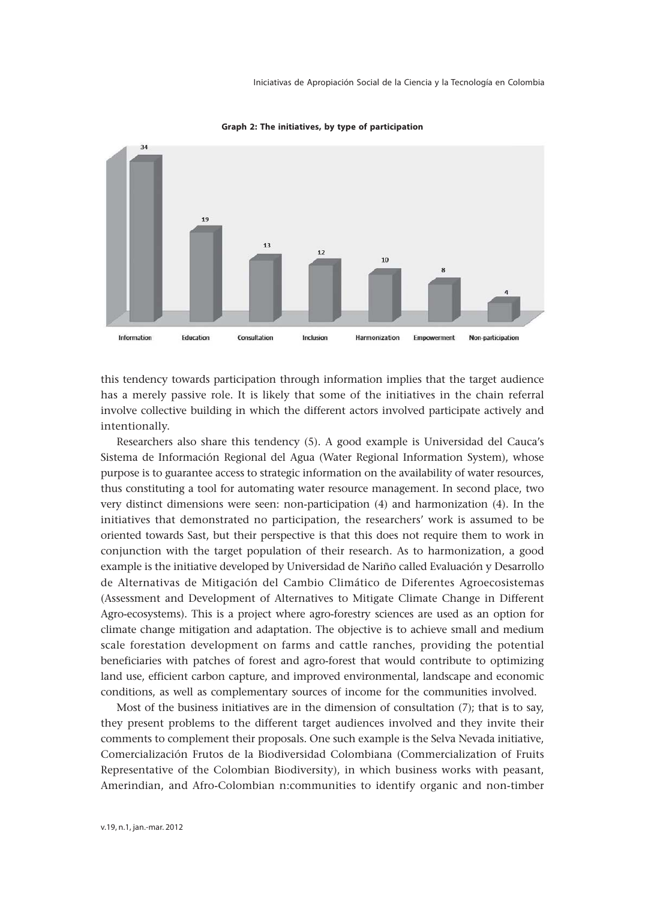

**Graph 2: The initiatives, by type of participation**

this tendency towards participation through information implies that the target audience has a merely passive role. It is likely that some of the initiatives in the chain referral involve collective building in which the different actors involved participate actively and intentionally.

Researchers also share this tendency (5). A good example is Universidad del Cauca's Sistema de Información Regional del Agua (Water Regional Information System), whose purpose is to guarantee access to strategic information on the availability of water resources, thus constituting a tool for automating water resource management. In second place, two very distinct dimensions were seen: non-participation (4) and harmonization (4). In the initiatives that demonstrated no participation, the researchers' work is assumed to be oriented towards Sast, but their perspective is that this does not require them to work in conjunction with the target population of their research. As to harmonization, a good example is the initiative developed by Universidad de Nariño called Evaluación y Desarrollo de Alternativas de Mitigación del Cambio Climático de Diferentes Agroecosistemas (Assessment and Development of Alternatives to Mitigate Climate Change in Different Agro-ecosystems). This is a project where agro-forestry sciences are used as an option for climate change mitigation and adaptation. The objective is to achieve small and medium scale forestation development on farms and cattle ranches, providing the potential beneficiaries with patches of forest and agro-forest that would contribute to optimizing land use, efficient carbon capture, and improved environmental, landscape and economic conditions, as well as complementary sources of income for the communities involved.

Most of the business initiatives are in the dimension of consultation (7); that is to say, they present problems to the different target audiences involved and they invite their comments to complement their proposals. One such example is the Selva Nevada initiative, Comercialización Frutos de la Biodiversidad Colombiana (Commercialization of Fruits Representative of the Colombian Biodiversity), in which business works with peasant, Amerindian, and Afro-Colombian n:communities to identify organic and non-timber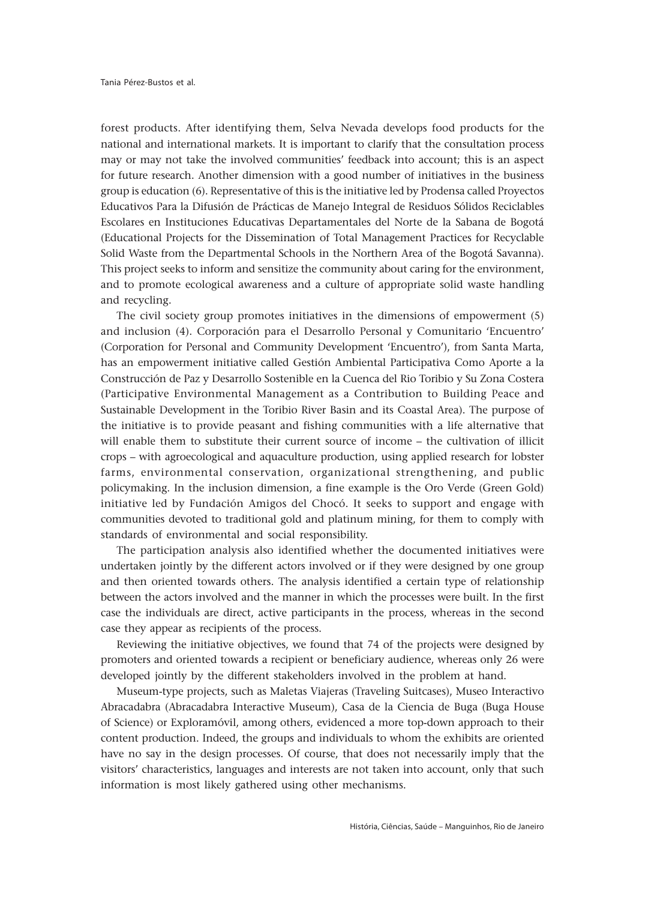forest products. After identifying them, Selva Nevada develops food products for the national and international markets. It is important to clarify that the consultation process may or may not take the involved communities' feedback into account; this is an aspect for future research. Another dimension with a good number of initiatives in the business group is education (6). Representative of this is the initiative led by Prodensa called Proyectos Educativos Para la Difusión de Prácticas de Manejo Integral de Residuos Sólidos Reciclables Escolares en Instituciones Educativas Departamentales del Norte de la Sabana de Bogotá (Educational Projects for the Dissemination of Total Management Practices for Recyclable Solid Waste from the Departmental Schools in the Northern Area of the Bogotá Savanna). This project seeks to inform and sensitize the community about caring for the environment, and to promote ecological awareness and a culture of appropriate solid waste handling and recycling.

The civil society group promotes initiatives in the dimensions of empowerment (5) and inclusion (4). Corporación para el Desarrollo Personal y Comunitario 'Encuentro' (Corporation for Personal and Community Development 'Encuentro'), from Santa Marta, has an empowerment initiative called Gestión Ambiental Participativa Como Aporte a la Construcción de Paz y Desarrollo Sostenible en la Cuenca del Rio Toribio y Su Zona Costera (Participative Environmental Management as a Contribution to Building Peace and Sustainable Development in the Toribio River Basin and its Coastal Area). The purpose of the initiative is to provide peasant and fishing communities with a life alternative that will enable them to substitute their current source of income – the cultivation of illicit crops – with agroecological and aquaculture production, using applied research for lobster farms, environmental conservation, organizational strengthening, and public policymaking. In the inclusion dimension, a fine example is the Oro Verde (Green Gold) initiative led by Fundación Amigos del Chocó. It seeks to support and engage with communities devoted to traditional gold and platinum mining, for them to comply with standards of environmental and social responsibility.

The participation analysis also identified whether the documented initiatives were undertaken jointly by the different actors involved or if they were designed by one group and then oriented towards others. The analysis identified a certain type of relationship between the actors involved and the manner in which the processes were built. In the first case the individuals are direct, active participants in the process, whereas in the second case they appear as recipients of the process.

Reviewing the initiative objectives, we found that 74 of the projects were designed by promoters and oriented towards a recipient or beneficiary audience, whereas only 26 were developed jointly by the different stakeholders involved in the problem at hand.

Museum-type projects, such as Maletas Viajeras (Traveling Suitcases), Museo Interactivo Abracadabra (Abracadabra Interactive Museum), Casa de la Ciencia de Buga (Buga House of Science) or Exploramóvil, among others, evidenced a more top-down approach to their content production. Indeed, the groups and individuals to whom the exhibits are oriented have no say in the design processes. Of course, that does not necessarily imply that the visitors' characteristics, languages and interests are not taken into account, only that such information is most likely gathered using other mechanisms.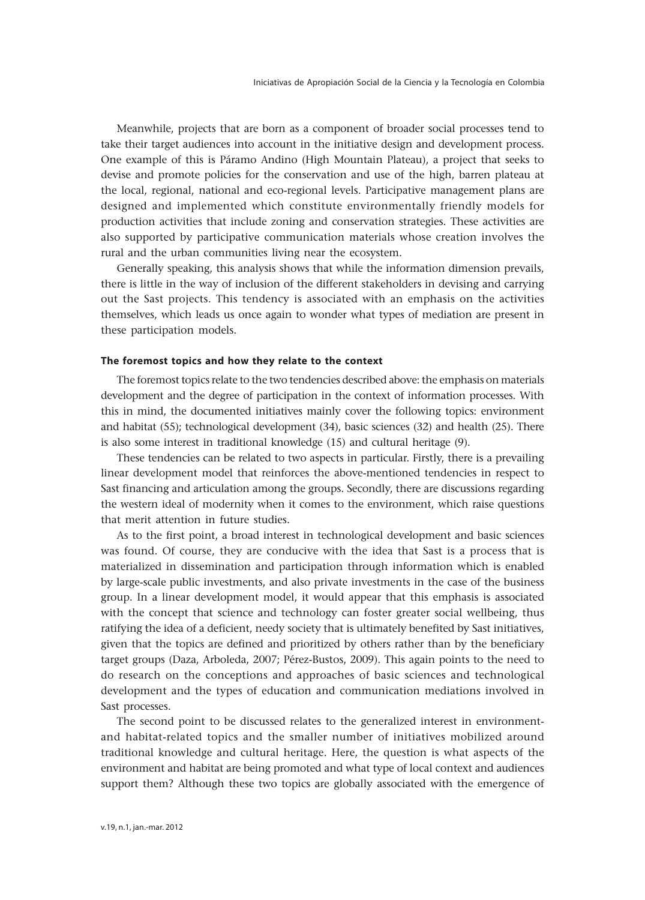Meanwhile, projects that are born as a component of broader social processes tend to take their target audiences into account in the initiative design and development process. One example of this is Páramo Andino (High Mountain Plateau), a project that seeks to devise and promote policies for the conservation and use of the high, barren plateau at the local, regional, national and eco-regional levels. Participative management plans are designed and implemented which constitute environmentally friendly models for production activities that include zoning and conservation strategies. These activities are also supported by participative communication materials whose creation involves the rural and the urban communities living near the ecosystem.

Generally speaking, this analysis shows that while the information dimension prevails, there is little in the way of inclusion of the different stakeholders in devising and carrying out the Sast projects. This tendency is associated with an emphasis on the activities themselves, which leads us once again to wonder what types of mediation are present in these participation models.

## **The foremost topics and how they relate to the context**

The foremost topics relate to the two tendencies described above: the emphasis on materials development and the degree of participation in the context of information processes. With this in mind, the documented initiatives mainly cover the following topics: environment and habitat (55); technological development (34), basic sciences (32) and health (25). There is also some interest in traditional knowledge (15) and cultural heritage (9).

These tendencies can be related to two aspects in particular. Firstly, there is a prevailing linear development model that reinforces the above-mentioned tendencies in respect to Sast financing and articulation among the groups. Secondly, there are discussions regarding the western ideal of modernity when it comes to the environment, which raise questions that merit attention in future studies.

As to the first point, a broad interest in technological development and basic sciences was found. Of course, they are conducive with the idea that Sast is a process that is materialized in dissemination and participation through information which is enabled by large-scale public investments, and also private investments in the case of the business group. In a linear development model, it would appear that this emphasis is associated with the concept that science and technology can foster greater social wellbeing, thus ratifying the idea of a deficient, needy society that is ultimately benefited by Sast initiatives, given that the topics are defined and prioritized by others rather than by the beneficiary target groups (Daza, Arboleda, 2007; Pérez-Bustos, 2009). This again points to the need to do research on the conceptions and approaches of basic sciences and technological development and the types of education and communication mediations involved in Sast processes.

The second point to be discussed relates to the generalized interest in environmentand habitat-related topics and the smaller number of initiatives mobilized around traditional knowledge and cultural heritage. Here, the question is what aspects of the environment and habitat are being promoted and what type of local context and audiences support them? Although these two topics are globally associated with the emergence of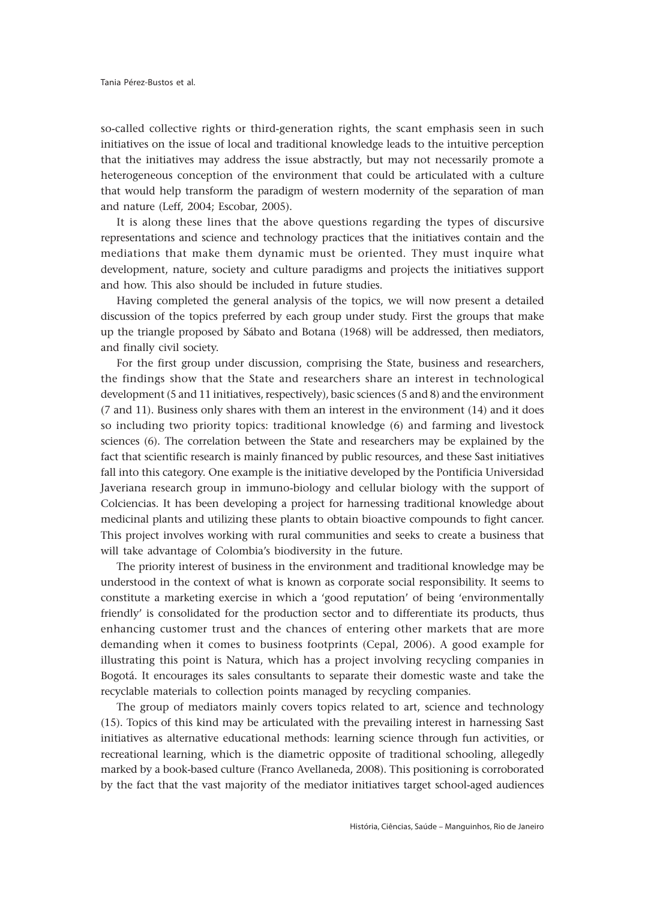so-called collective rights or third-generation rights, the scant emphasis seen in such initiatives on the issue of local and traditional knowledge leads to the intuitive perception that the initiatives may address the issue abstractly, but may not necessarily promote a heterogeneous conception of the environment that could be articulated with a culture that would help transform the paradigm of western modernity of the separation of man and nature (Leff, 2004; Escobar, 2005).

It is along these lines that the above questions regarding the types of discursive representations and science and technology practices that the initiatives contain and the mediations that make them dynamic must be oriented. They must inquire what development, nature, society and culture paradigms and projects the initiatives support and how. This also should be included in future studies.

Having completed the general analysis of the topics, we will now present a detailed discussion of the topics preferred by each group under study. First the groups that make up the triangle proposed by Sábato and Botana (1968) will be addressed, then mediators, and finally civil society.

For the first group under discussion, comprising the State, business and researchers, the findings show that the State and researchers share an interest in technological development (5 and 11 initiatives, respectively), basic sciences (5 and 8) and the environment (7 and 11). Business only shares with them an interest in the environment (14) and it does so including two priority topics: traditional knowledge (6) and farming and livestock sciences (6). The correlation between the State and researchers may be explained by the fact that scientific research is mainly financed by public resources, and these Sast initiatives fall into this category. One example is the initiative developed by the Pontificia Universidad Javeriana research group in immuno-biology and cellular biology with the support of Colciencias. It has been developing a project for harnessing traditional knowledge about medicinal plants and utilizing these plants to obtain bioactive compounds to fight cancer. This project involves working with rural communities and seeks to create a business that will take advantage of Colombia's biodiversity in the future.

The priority interest of business in the environment and traditional knowledge may be understood in the context of what is known as corporate social responsibility. It seems to constitute a marketing exercise in which a 'good reputation' of being 'environmentally friendly' is consolidated for the production sector and to differentiate its products, thus enhancing customer trust and the chances of entering other markets that are more demanding when it comes to business footprints (Cepal, 2006). A good example for illustrating this point is Natura, which has a project involving recycling companies in Bogotá. It encourages its sales consultants to separate their domestic waste and take the recyclable materials to collection points managed by recycling companies.

The group of mediators mainly covers topics related to art, science and technology (15). Topics of this kind may be articulated with the prevailing interest in harnessing Sast initiatives as alternative educational methods: learning science through fun activities, or recreational learning, which is the diametric opposite of traditional schooling, allegedly marked by a book-based culture (Franco Avellaneda, 2008). This positioning is corroborated by the fact that the vast majority of the mediator initiatives target school-aged audiences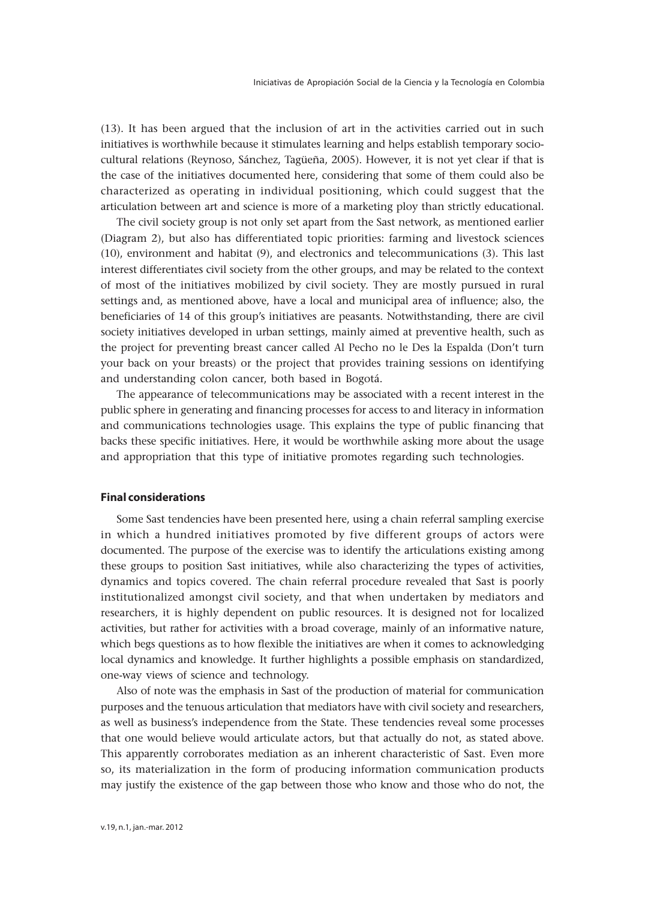(13). It has been argued that the inclusion of art in the activities carried out in such initiatives is worthwhile because it stimulates learning and helps establish temporary sociocultural relations (Reynoso, Sánchez, Tagüeña, 2005). However, it is not yet clear if that is the case of the initiatives documented here, considering that some of them could also be characterized as operating in individual positioning, which could suggest that the articulation between art and science is more of a marketing ploy than strictly educational.

The civil society group is not only set apart from the Sast network, as mentioned earlier (Diagram 2), but also has differentiated topic priorities: farming and livestock sciences (10), environment and habitat (9), and electronics and telecommunications (3). This last interest differentiates civil society from the other groups, and may be related to the context of most of the initiatives mobilized by civil society. They are mostly pursued in rural settings and, as mentioned above, have a local and municipal area of influence; also, the beneficiaries of 14 of this group's initiatives are peasants. Notwithstanding, there are civil society initiatives developed in urban settings, mainly aimed at preventive health, such as the project for preventing breast cancer called Al Pecho no le Des la Espalda (Don't turn your back on your breasts) or the project that provides training sessions on identifying and understanding colon cancer, both based in Bogotá.

The appearance of telecommunications may be associated with a recent interest in the public sphere in generating and financing processes for access to and literacy in information and communications technologies usage. This explains the type of public financing that backs these specific initiatives. Here, it would be worthwhile asking more about the usage and appropriation that this type of initiative promotes regarding such technologies.

# **Final considerations**

Some Sast tendencies have been presented here, using a chain referral sampling exercise in which a hundred initiatives promoted by five different groups of actors were documented. The purpose of the exercise was to identify the articulations existing among these groups to position Sast initiatives, while also characterizing the types of activities, dynamics and topics covered. The chain referral procedure revealed that Sast is poorly institutionalized amongst civil society, and that when undertaken by mediators and researchers, it is highly dependent on public resources. It is designed not for localized activities, but rather for activities with a broad coverage, mainly of an informative nature, which begs questions as to how flexible the initiatives are when it comes to acknowledging local dynamics and knowledge. It further highlights a possible emphasis on standardized, one-way views of science and technology.

Also of note was the emphasis in Sast of the production of material for communication purposes and the tenuous articulation that mediators have with civil society and researchers, as well as business's independence from the State. These tendencies reveal some processes that one would believe would articulate actors, but that actually do not, as stated above. This apparently corroborates mediation as an inherent characteristic of Sast. Even more so, its materialization in the form of producing information communication products may justify the existence of the gap between those who know and those who do not, the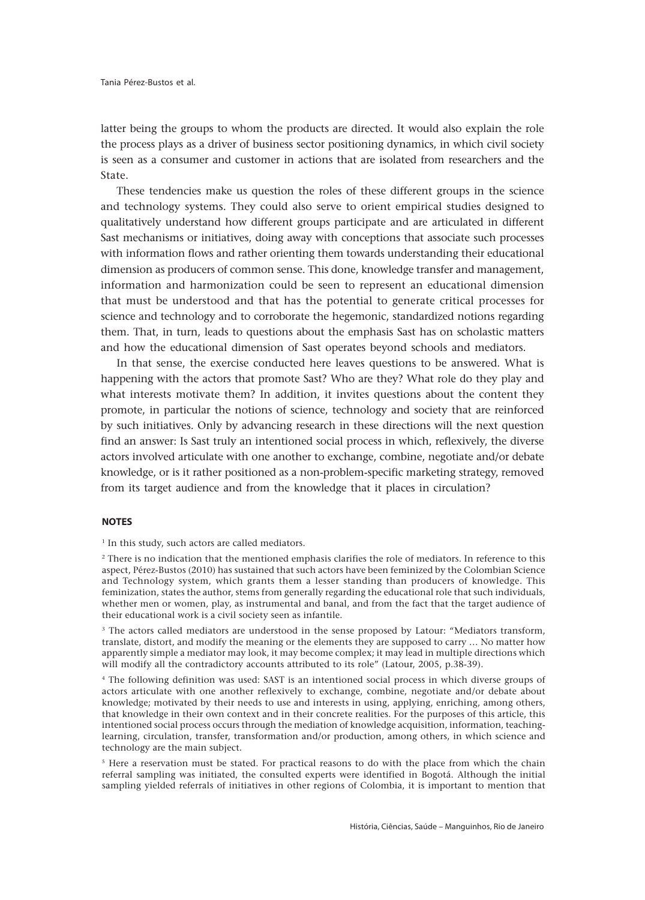latter being the groups to whom the products are directed. It would also explain the role the process plays as a driver of business sector positioning dynamics, in which civil society is seen as a consumer and customer in actions that are isolated from researchers and the State.

These tendencies make us question the roles of these different groups in the science and technology systems. They could also serve to orient empirical studies designed to qualitatively understand how different groups participate and are articulated in different Sast mechanisms or initiatives, doing away with conceptions that associate such processes with information flows and rather orienting them towards understanding their educational dimension as producers of common sense. This done, knowledge transfer and management, information and harmonization could be seen to represent an educational dimension that must be understood and that has the potential to generate critical processes for science and technology and to corroborate the hegemonic, standardized notions regarding them. That, in turn, leads to questions about the emphasis Sast has on scholastic matters and how the educational dimension of Sast operates beyond schools and mediators.

In that sense, the exercise conducted here leaves questions to be answered. What is happening with the actors that promote Sast? Who are they? What role do they play and what interests motivate them? In addition, it invites questions about the content they promote, in particular the notions of science, technology and society that are reinforced by such initiatives. Only by advancing research in these directions will the next question find an answer: Is Sast truly an intentioned social process in which, reflexively, the diverse actors involved articulate with one another to exchange, combine, negotiate and/or debate knowledge, or is it rather positioned as a non-problem-specific marketing strategy, removed from its target audience and from the knowledge that it places in circulation?

# **NOTES**

<sup>1</sup> In this study, such actors are called mediators.

<sup>2</sup> There is no indication that the mentioned emphasis clarifies the role of mediators. In reference to this aspect, Pérez-Bustos (2010) has sustained that such actors have been feminized by the Colombian Science and Technology system, which grants them a lesser standing than producers of knowledge. This feminization, states the author, stems from generally regarding the educational role that such individuals, whether men or women, play, as instrumental and banal, and from the fact that the target audience of their educational work is a civil society seen as infantile.

<sup>3</sup> The actors called mediators are understood in the sense proposed by Latour: "Mediators transform, translate, distort, and modify the meaning or the elements they are supposed to carry … No matter how apparently simple a mediator may look, it may become complex; it may lead in multiple directions which will modify all the contradictory accounts attributed to its role" (Latour, 2005, p.38-39).

4 The following definition was used: SAST is an intentioned social process in which diverse groups of actors articulate with one another reflexively to exchange, combine, negotiate and/or debate about knowledge; motivated by their needs to use and interests in using, applying, enriching, among others, that knowledge in their own context and in their concrete realities. For the purposes of this article, this intentioned social process occurs through the mediation of knowledge acquisition, information, teachinglearning, circulation, transfer, transformation and/or production, among others, in which science and technology are the main subject.

<sup>5</sup> Here a reservation must be stated. For practical reasons to do with the place from which the chain referral sampling was initiated, the consulted experts were identified in Bogotá. Although the initial sampling yielded referrals of initiatives in other regions of Colombia, it is important to mention that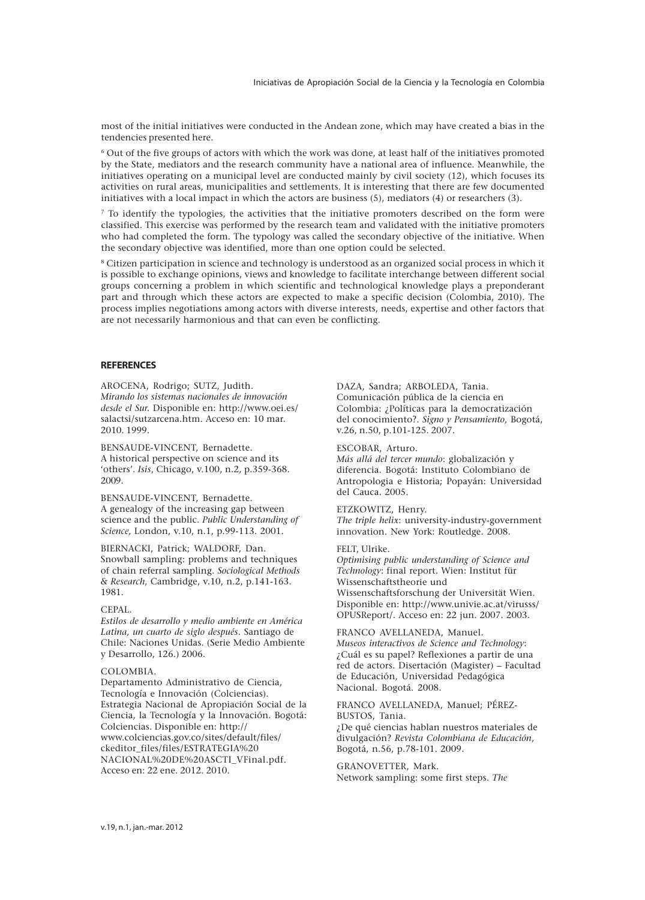most of the initial initiatives were conducted in the Andean zone, which may have created a bias in the tendencies presented here.

6 Out of the five groups of actors with which the work was done, at least half of the initiatives promoted by the State, mediators and the research community have a national area of influence. Meanwhile, the initiatives operating on a municipal level are conducted mainly by civil society (12), which focuses its activities on rural areas, municipalities and settlements. It is interesting that there are few documented initiatives with a local impact in which the actors are business (5), mediators (4) or researchers (3).

 $<sup>7</sup>$  To identify the typologies, the activities that the initiative promoters described on the form were</sup> classified. This exercise was performed by the research team and validated with the initiative promoters who had completed the form. The typology was called the secondary objective of the initiative. When the secondary objective was identified, more than one option could be selected.

8 Citizen participation in science and technology is understood as an organized social process in which it is possible to exchange opinions, views and knowledge to facilitate interchange between different social groups concerning a problem in which scientific and technological knowledge plays a preponderant part and through which these actors are expected to make a specific decision (Colombia, 2010). The process implies negotiations among actors with diverse interests, needs, expertise and other factors that are not necessarily harmonious and that can even be conflicting.

### **REFERENCES**

AROCENA, Rodrigo; SUTZ, Judith. *Mirando los sistemas nacionales de innovación desde el Sur.* Disponible en: http://www.oei.es/ salactsi/sutzarcena.htm. Acceso en: 10 mar. 2010. 1999*.*

BENSAUDE-VINCENT, Bernadette. A historical perspective on science and its 'others'. *Isis*, Chicago, v.100, n.2, p.359-368. 2009.

BENSAUDE-VINCENT, Bernadette. A genealogy of the increasing gap between science and the public. *Public Understanding of Science,* London, v.10, n.1, p.99-113. 2001.

BIERNACKI, Patrick; WALDORF, Dan. Snowball sampling: problems and techniques of chain referral sampling. *Sociological Methods & Research*, Cambridge, v.10, n.2, p.141-163. 1981.

## CEPAL.

*Estilos de desarrollo y medio ambiente en América Latina, un cuarto de siglo después*. Santiago de Chile: Naciones Unidas. (Serie Medio Ambiente y Desarrollo, 126.) 2006.

#### COLOMBIA.

Departamento Administrativo de Ciencia, Tecnología e Innovación (Colciencias). Estrategia Nacional de Apropiación Social de la Ciencia, la Tecnología y la Innovación. Bogotá: Colciencias. Disponible en: http:// www.colciencias.gov.co/sites/default/files/ ckeditor\_files/files/ESTRATEGIA%20 NACIONAL%20DE%20ASCTI\_VFinal.pdf. Acceso en: 22 ene. 2012. 2010.

DAZA, Sandra; ARBOLEDA, Tania. Comunicación pública de la ciencia en Colombia: ¿Políticas para la democratización del conocimiento?. *Signo y Pensamiento,* Bogotá, v.26, n.50, p.101-125. 2007.

## ESCOBAR, Arturo.

*Más allá del tercer mundo*: globalización y diferencia. Bogotá: Instituto Colombiano de Antropologia e Historia; Popayán: Universidad del Cauca. 2005.

#### ETZKOWITZ, Henry.

*The triple helix*: university-industry-government innovation. New York: Routledge. 2008.

### FELT, Ulrike.

*Optimising public understanding of Science and Technology*: final report. Wien: Institut für Wissenschaftstheorie und Wissenschaftsforschung der Universität Wien. Disponible en: http://www.univie.ac.at/virusss/ OPUSReport/. Acceso en: 22 jun. 2007. 2003.

FRANCO AVELLANEDA, Manuel. *Museos interactivos de Science and Technology*: ¿Cuál es su papel? Reflexiones a partir de una red de actors. Disertación (Magister) – Facultad de Educación, Universidad Pedagógica Nacional. Bogotá. 2008.

# FRANCO AVELLANEDA, Manuel; PÉREZ-BUSTOS, Tania.

¿De qué ciencias hablan nuestros materiales de divulgación? *Revista Colombiana de Educación*, Bogotá, n.56, p.78-101. 2009.

GRANOVETTER, Mark. Network sampling: some first steps. *The*